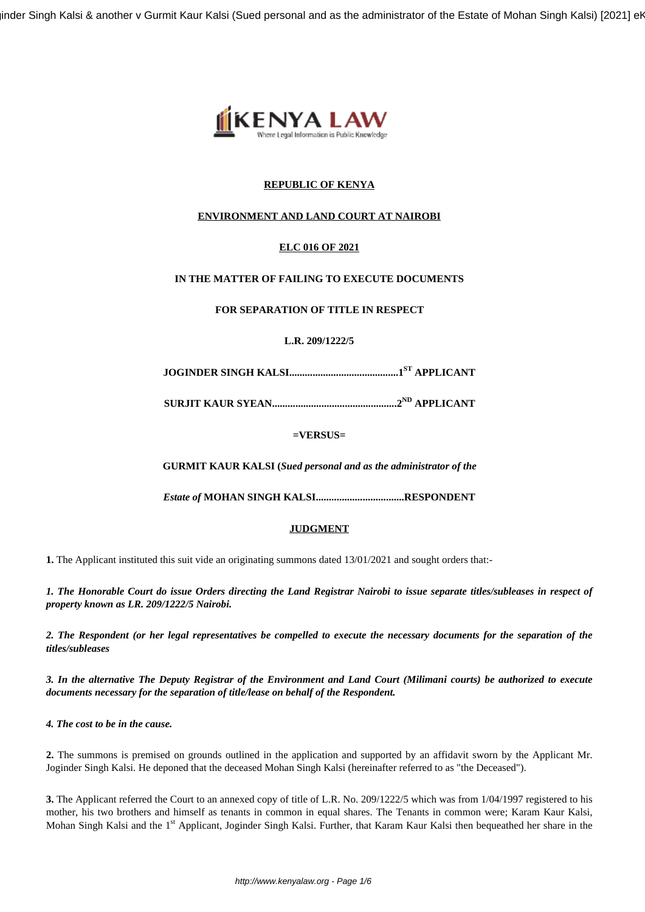inder Singh Kalsi & another v Gurmit Kaur Kalsi (Sued personal and as the administrator of the Estate of Mohan Singh Kalsi) [2021] er



# **REPUBLIC OF KENYA**

# **ENVIRONMENT AND LAND COURT AT NAIROBI**

## **ELC 016 OF 2021**

## **IN THE MATTER OF FAILING TO EXECUTE DOCUMENTS**

## **FOR SEPARATION OF TITLE IN RESPECT**

## **L.R. 209/1222/5**

**JOGINDER SINGH KALSI..........................................1ST APPLICANT**

**SURJIT KAUR SYEAN................................................2ND APPLICANT**

**=VERSUS=**

**GURMIT KAUR KALSI (***Sued personal and as the administrator of the*

*Estate of* **MOHAN SINGH KALSI..................................RESPONDENT**

### **JUDGMENT**

1. The Applicant instituted this suit vide an originating summons dated 13/01/2021 and sought orders that:-

*1. The Honorable Court do issue Orders directing the Land Registrar Nairobi to issue separate titles/subleases in respect of property known as LR. 209/1222/5 Nairobi.*

*2. The Respondent (or her legal representatives be compelled to execute the necessary documents for the separation of the titles/subleases*

*3. In the alternative The Deputy Registrar of the Environment and Land Court (Milimani courts) be authorized to execute documents necessary for the separation of title/lease on behalf of the Respondent.*

*4. The cost to be in the cause.*

**2.** The summons is premised on grounds outlined in the application and supported by an affidavit sworn by the Applicant Mr. Joginder Singh Kalsi. He deponed that the deceased Mohan Singh Kalsi (hereinafter referred to as "the Deceased").

**3.** The Applicant referred the Court to an annexed copy of title of L.R. No. 209/1222/5 which was from 1/04/1997 registered to his mother, his two brothers and himself as tenants in common in equal shares. The Tenants in common were; Karam Kaur Kalsi, Mohan Singh Kalsi and the 1<sup>st</sup> Applicant, Joginder Singh Kalsi. Further, that Karam Kaur Kalsi then bequeathed her share in the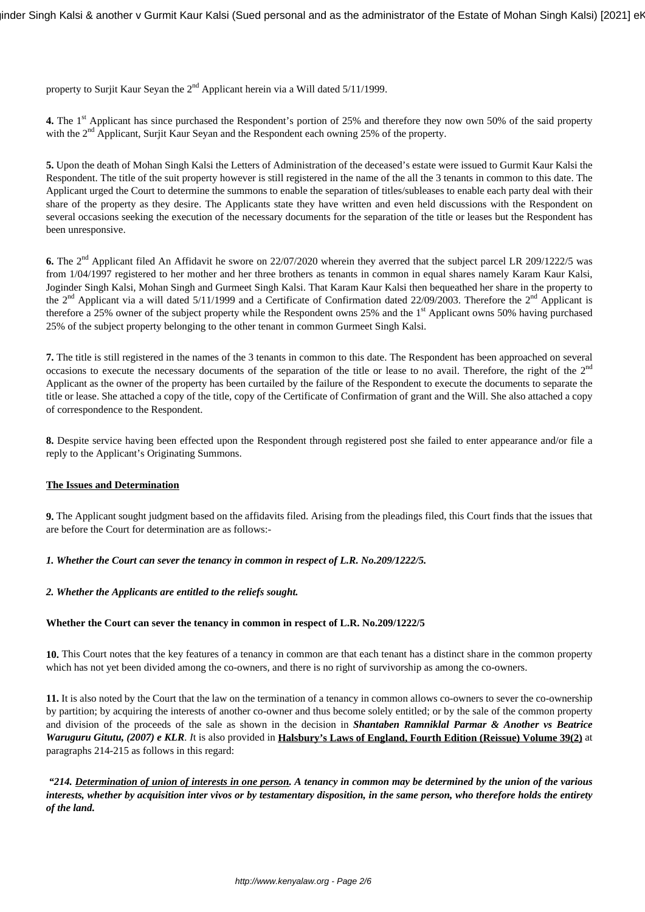property to Surjit Kaur Seyan the  $2<sup>nd</sup>$  Applicant herein via a Will dated 5/11/1999.

**4.** The 1<sup>st</sup> Applicant has since purchased the Respondent's portion of 25% and therefore they now own 50% of the said property with the 2<sup>nd</sup> Applicant, Surjit Kaur Seyan and the Respondent each owning 25% of the property.

**5.** Upon the death of Mohan Singh Kalsi the Letters of Administration of the deceased's estate were issued to Gurmit Kaur Kalsi the Respondent. The title of the suit property however is still registered in the name of the all the 3 tenants in common to this date. The Applicant urged the Court to determine the summons to enable the separation of titles/subleases to enable each party deal with their share of the property as they desire. The Applicants state they have written and even held discussions with the Respondent on several occasions seeking the execution of the necessary documents for the separation of the title or leases but the Respondent has been unresponsive.

**6.** The 2<sup>nd</sup> Applicant filed An Affidavit he swore on 22/07/2020 wherein they averred that the subject parcel LR 209/1222/5 was from 1/04/1997 registered to her mother and her three brothers as tenants in common in equal shares namely Karam Kaur Kalsi, Joginder Singh Kalsi, Mohan Singh and Gurmeet Singh Kalsi. That Karam Kaur Kalsi then bequeathed her share in the property to the  $2<sup>nd</sup>$  Applicant via a will dated 5/11/1999 and a Certificate of Confirmation dated 22/09/2003. Therefore the  $2<sup>nd</sup>$  Applicant is therefore a 25% owner of the subject property while the Respondent owns 25% and the 1<sup>st</sup> Applicant owns 50% having purchased 25% of the subject property belonging to the other tenant in common Gurmeet Singh Kalsi.

**7.** The title is still registered in the names of the 3 tenants in common to this date. The Respondent has been approached on several occasions to execute the necessary documents of the separation of the title or lease to no avail. Therefore, the right of the 2<sup>nd</sup> Applicant as the owner of the property has been curtailed by the failure of the Respondent to execute the documents to separate the title or lease. She attached a copy of the title, copy of the Certificate of Confirmation of grant and the Will. She also attached a copy of correspondence to the Respondent.

**8.** Despite service having been effected upon the Respondent through registered post she failed to enter appearance and/or file a reply to the Applicant's Originating Summons.

### **The Issues and Determination**

**9.** The Applicant sought judgment based on the affidavits filed. Arising from the pleadings filed, this Court finds that the issues that are before the Court for determination are as follows:-

#### *1. Whether the Court can sever the tenancy in common in respect of L.R. No.209/1222/5.*

#### *2. Whether the Applicants are entitled to the reliefs sought.*

#### **Whether the Court can sever the tenancy in common in respect of L.R. No.209/1222/5**

**10.** This Court notes that the key features of a tenancy in common are that each tenant has a distinct share in the common property which has not yet been divided among the co-owners, and there is no right of survivorship as among the co-owners.

**11.** It is also noted by the Court that the law on the termination of a tenancy in common allows co-owners to sever the co-ownership by partition; by acquiring the interests of another co-owner and thus become solely entitled; or by the sale of the common property and division of the proceeds of the sale as shown in the decision in *Shantaben Ramniklal Parmar & Another vs Beatrice Waruguru Gitutu, (2007) e KLR. I*t is also provided in **Halsbury's Laws of England, Fourth Edition (Reissue) Volume 39(2)** at paragraphs 214-215 as follows in this regard:

*"214. Determination of union of interests in one person. A tenancy in common may be determined by the union of the various interests, whether by acquisition inter vivos or by testamentary disposition, in the same person, who therefore holds the entirety of the land.*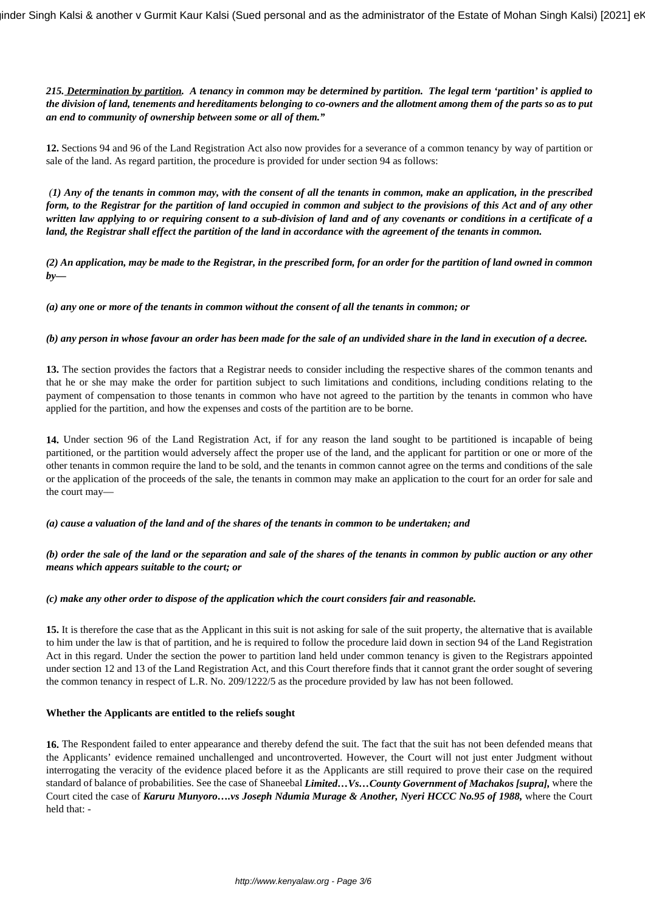*215. Determination by partition. A tenancy in common may be determined by partition. The legal term 'partition' is applied to the division of land, tenements and hereditaments belonging to co-owners and the allotment among them of the parts so as to put an end to community of ownership between some or all of them."*

**12.** Sections 94 and 96 of the Land Registration Act also now provides for a severance of a common tenancy by way of partition or sale of the land. As regard partition, the procedure is provided for under section 94 as follows:

*(1) Any of the tenants in common may, with the consent of all the tenants in common, make an application, in the prescribed form, to the Registrar for the partition of land occupied in common and subject to the provisions of this Act and of any other written law applying to or requiring consent to a sub-division of land and of any covenants or conditions in a certificate of a land, the Registrar shall effect the partition of the land in accordance with the agreement of the tenants in common.*

*(2) An application, may be made to the Registrar, in the prescribed form, for an order for the partition of land owned in common by—*

*(a) any one or more of the tenants in common without the consent of all the tenants in common; or*

*(b) any person in whose favour an order has been made for the sale of an undivided share in the land in execution of a decree.*

**13.** The section provides the factors that a Registrar needs to consider including the respective shares of the common tenants and that he or she may make the order for partition subject to such limitations and conditions, including conditions relating to the payment of compensation to those tenants in common who have not agreed to the partition by the tenants in common who have applied for the partition, and how the expenses and costs of the partition are to be borne.

**14.** Under section 96 of the Land Registration Act, if for any reason the land sought to be partitioned is incapable of being partitioned, or the partition would adversely affect the proper use of the land, and the applicant for partition or one or more of the other tenants in common require the land to be sold, and the tenants in common cannot agree on the terms and conditions of the sale or the application of the proceeds of the sale, the tenants in common may make an application to the court for an order for sale and the court may—

*(a) cause a valuation of the land and of the shares of the tenants in common to be undertaken; and*

*(b) order the sale of the land or the separation and sale of the shares of the tenants in common by public auction or any other means which appears suitable to the court; or*

*(c) make any other order to dispose of the application which the court considers fair and reasonable.*

**15.** It is therefore the case that as the Applicant in this suit is not asking for sale of the suit property, the alternative that is available to him under the law is that of partition, and he is required to follow the procedure laid down in section 94 of the Land Registration Act in this regard. Under the section the power to partition land held under common tenancy is given to the Registrars appointed under section 12 and 13 of the Land Registration Act, and this Court therefore finds that it cannot grant the order sought of severing the common tenancy in respect of L.R. No. 209/1222/5 as the procedure provided by law has not been followed.

#### **Whether the Applicants are entitled to the reliefs sought**

**16.** The Respondent failed to enter appearance and thereby defend the suit. The fact that the suit has not been defended means that the Applicants' evidence remained unchallenged and uncontroverted. However, the Court will not just enter Judgment without interrogating the veracity of the evidence placed before it as the Applicants are still required to prove their case on the required standard of balance of probabilities. See the case of Shaneebal *Limited…Vs…County Government of Machakos [supra],* where the Court cited the case of *Karuru Munyoro….vs Joseph Ndumia Murage & Another, Nyeri HCCC No.95 of 1988,* where the Court held that: -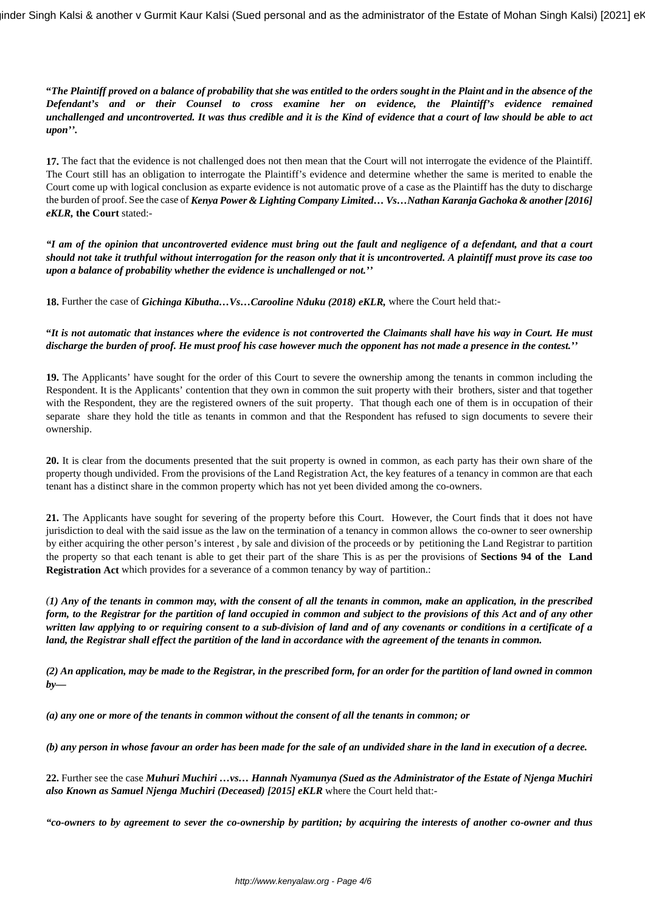**"***The Plaintiff proved on a balance of probability that she was entitled to the orders sought in the Plaint and in the absence of the Defendant's and or their Counsel to cross examine her on evidence, the Plaintiff's evidence remained unchallenged and uncontroverted. It was thus credible and it is the Kind of evidence that a court of law should be able to act upon''.*

**17.** The fact that the evidence is not challenged does not then mean that the Court will not interrogate the evidence of the Plaintiff. The Court still has an obligation to interrogate the Plaintiff's evidence and determine whether the same is merited to enable the Court come up with logical conclusion as exparte evidence is not automatic prove of a case as the Plaintiff has the duty to discharge the burden of proof. See the case of *Kenya Power & Lighting Company Limited… Vs…Nathan Karanja Gachoka & another [2016] eKLR,* **the Court** stated:-

*"I am of the opinion that uncontroverted evidence must bring out the fault and negligence of a defendant, and that a court should not take it truthful without interrogation for the reason only that it is uncontroverted. A plaintiff must prove its case too upon a balance of probability whether the evidence is unchallenged or not.''*

**18.** Further the case of *Gichinga Kibutha…Vs…Carooline Nduku (2018) eKLR,* where the Court held that:-

## **"***It is not automatic that instances where the evidence is not controverted the Claimants shall have his way in Court. He must discharge the burden of proof. He must proof his case however much the opponent has not made a presence in the contest.''*

**19.** The Applicants' have sought for the order of this Court to severe the ownership among the tenants in common including the Respondent. It is the Applicants' contention that they own in common the suit property with their brothers, sister and that together with the Respondent, they are the registered owners of the suit property. That though each one of them is in occupation of their separate share they hold the title as tenants in common and that the Respondent has refused to sign documents to severe their ownership.

**20.** It is clear from the documents presented that the suit property is owned in common, as each party has their own share of the property though undivided. From the provisions of the Land Registration Act, the key features of a tenancy in common are that each tenant has a distinct share in the common property which has not yet been divided among the co-owners.

**21.** The Applicants have sought for severing of the property before this Court. However, the Court finds that it does not have jurisdiction to deal with the said issue as the law on the termination of a tenancy in common allows the co-owner to seer ownership by either acquiring the other person's interest , by sale and division of the proceeds or by petitioning the Land Registrar to partition the property so that each tenant is able to get their part of the share This is as per the provisions of **Sections 94 of the Land Registration Act** which provides for a severance of a common tenancy by way of partition.:

*(1) Any of the tenants in common may, with the consent of all the tenants in common, make an application, in the prescribed form, to the Registrar for the partition of land occupied in common and subject to the provisions of this Act and of any other written law applying to or requiring consent to a sub-division of land and of any covenants or conditions in a certificate of a land, the Registrar shall effect the partition of the land in accordance with the agreement of the tenants in common.*

*(2) An application, may be made to the Registrar, in the prescribed form, for an order for the partition of land owned in common by—*

*(a) any one or more of the tenants in common without the consent of all the tenants in common; or*

*(b) any person in whose favour an order has been made for the sale of an undivided share in the land in execution of a decree.*

**22.** Further see the case *Muhuri Muchiri …vs… Hannah Nyamunya (Sued as the Administrator of the Estate of Njenga Muchiri also Known as Samuel Njenga Muchiri (Deceased) [2015] eKLR* where the Court held that:-

*"co-owners to by agreement to sever the co-ownership by partition; by acquiring the interests of another co-owner and thus*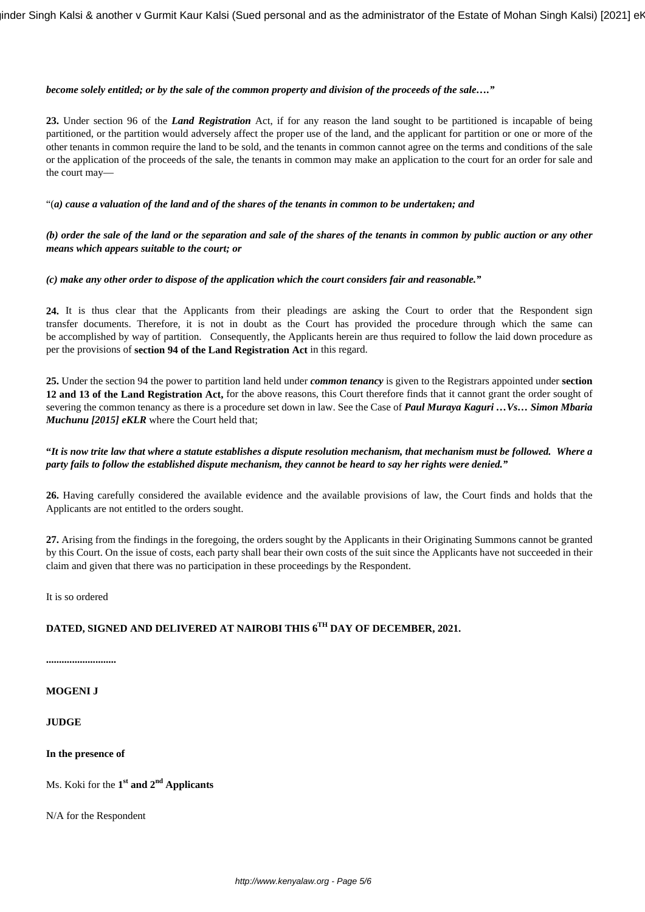### *become solely entitled; or by the sale of the common property and division of the proceeds of the sale…."*

**23.** Under section 96 of the *Land Registration* Act, if for any reason the land sought to be partitioned is incapable of being partitioned, or the partition would adversely affect the proper use of the land, and the applicant for partition or one or more of the other tenants in common require the land to be sold, and the tenants in common cannot agree on the terms and conditions of the sale or the application of the proceeds of the sale, the tenants in common may make an application to the court for an order for sale and the court may—

"(*a) cause a valuation of the land and of the shares of the tenants in common to be undertaken; and*

*(b) order the sale of the land or the separation and sale of the shares of the tenants in common by public auction or any other means which appears suitable to the court; or*

### *(c) make any other order to dispose of the application which the court considers fair and reasonable."*

**24.** It is thus clear that the Applicants from their pleadings are asking the Court to order that the Respondent sign transfer documents. Therefore, it is not in doubt as the Court has provided the procedure through which the same can be accomplished by way of partition. Consequently, the Applicants herein are thus required to follow the laid down procedure as per the provisions of **section 94 of the Land Registration Act** in this regard.

**25.** Under the section 94 the power to partition land held under *common tenancy* is given to the Registrars appointed under **section 12 and 13 of the Land Registration Act,** for the above reasons, this Court therefore finds that it cannot grant the order sought of severing the common tenancy as there is a procedure set down in law. See the Case of *Paul Muraya Kaguri …Vs… Simon Mbaria Muchunu [2015] eKLR* where the Court held that;

**"***It is now trite law that where a statute establishes a dispute resolution mechanism, that mechanism must be followed. Where a party fails to follow the established dispute mechanism, they cannot be heard to say her rights were denied."*

**26.** Having carefully considered the available evidence and the available provisions of law, the Court finds and holds that the Applicants are not entitled to the orders sought.

**27.** Arising from the findings in the foregoing, the orders sought by the Applicants in their Originating Summons cannot be granted by this Court. On the issue of costs, each party shall bear their own costs of the suit since the Applicants have not succeeded in their claim and given that there was no participation in these proceedings by the Respondent.

It is so ordered

# **DATED, SIGNED AND DELIVERED AT NAIROBI THIS 6TH DAY OF DECEMBER, 2021.**

**...........................**

### **MOGENI J**

#### **JUDGE**

**In the presence of** 

Ms. Koki for the **1 st and 2nd Applicants**

N/A for the Respondent